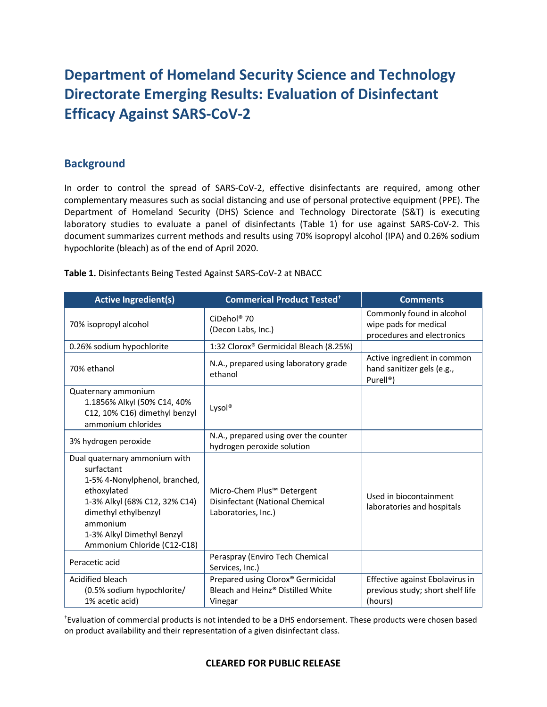# **Department of Homeland Security Science and Technology Directorate Emerging Results: Evaluation of Disinfectant Efficacy Against SARS-CoV-2**

## **Background**

In order to control the spread of SARS-CoV-2, effective disinfectants are required, among other complementary measures such as social distancing and use of personal protective equipment (PPE). The Department of Homeland Security (DHS) Science and Technology Directorate (S&T) is executing laboratory studies to evaluate a panel of disinfectants (Table 1) for use against SARS-CoV-2. This document summarizes current methods and results using 70% isopropyl alcohol (IPA) and 0.26% sodium hypochlorite (bleach) as of the end of April 2020.

| Table 1. Disinfectants Being Tested Against SARS-CoV-2 at NBACC |  |  |  |
|-----------------------------------------------------------------|--|--|--|
|-----------------------------------------------------------------|--|--|--|

| <b>Active Ingredient(s)</b>                                                                                                                                                                                                   | <b>Commerical Product Tested<sup>+</sup></b>                                                     | <b>Comments</b>                                                                    |
|-------------------------------------------------------------------------------------------------------------------------------------------------------------------------------------------------------------------------------|--------------------------------------------------------------------------------------------------|------------------------------------------------------------------------------------|
| 70% isopropyl alcohol                                                                                                                                                                                                         | CiDehol <sup>®</sup> 70<br>(Decon Labs, Inc.)                                                    | Commonly found in alcohol<br>wipe pads for medical<br>procedures and electronics   |
| 0.26% sodium hypochlorite                                                                                                                                                                                                     | 1:32 Clorox® Germicidal Bleach (8.25%)                                                           |                                                                                    |
| 70% ethanol                                                                                                                                                                                                                   | N.A., prepared using laboratory grade<br>ethanol                                                 | Active ingredient in common<br>hand sanitizer gels (e.g.,<br>Purell <sup>®</sup> ) |
| Quaternary ammonium<br>1.1856% Alkyl (50% C14, 40%<br>C12, 10% C16) dimethyl benzyl<br>ammonium chlorides                                                                                                                     | Lysol®                                                                                           |                                                                                    |
| 3% hydrogen peroxide                                                                                                                                                                                                          | N.A., prepared using over the counter<br>hydrogen peroxide solution                              |                                                                                    |
| Dual quaternary ammonium with<br>surfactant<br>1-5% 4-Nonylphenol, branched,<br>ethoxylated<br>1-3% Alkyl (68% C12, 32% C14)<br>dimethyl ethylbenzyl<br>ammonium<br>1-3% Alkyl Dimethyl Benzyl<br>Ammonium Chloride (C12-C18) | Micro-Chem Plus <sup>™</sup> Detergent<br>Disinfectant (National Chemical<br>Laboratories, Inc.) | Used in biocontainment<br>laboratories and hospitals                               |
| Peracetic acid                                                                                                                                                                                                                | Peraspray (Enviro Tech Chemical<br>Services, Inc.)                                               |                                                                                    |
| Acidified bleach<br>(0.5% sodium hypochlorite/<br>1% acetic acid)                                                                                                                                                             | Prepared using Clorox® Germicidal<br>Bleach and Heinz® Distilled White<br>Vinegar                | Effective against Ebolavirus in<br>previous study; short shelf life<br>(hours)     |

† Evaluation of commercial products is not intended to be a DHS endorsement. These products were chosen based on product availability and their representation of a given disinfectant class.

#### **CLEARED FOR PUBLIC RELEASE**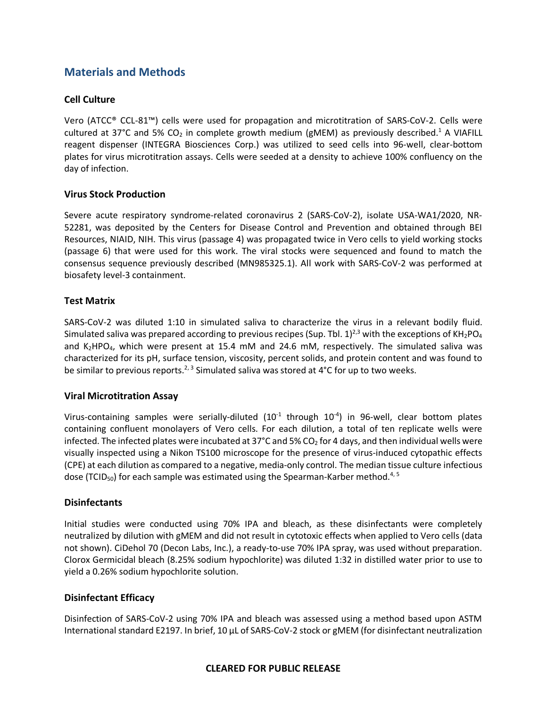# **Materials and Methods**

### **Cell Culture**

Vero (ATCC® CCL-81™) cells were used for propagation and microtitration of SARS-CoV-2. Cells were cultured at 37°C and 5% CO<sub>2</sub> in complete growth medium (gMEM) as previously described.<sup>1</sup> A VIAFILL reagent dispenser (INTEGRA Biosciences Corp.) was utilized to seed cells into 96-well, clear-bottom plates for virus microtitration assays. Cells were seeded at a density to achieve 100% confluency on the day of infection.

#### **Virus Stock Production**

Severe acute respiratory syndrome-related coronavirus 2 (SARS-CoV-2), isolate USA-WA1/2020, NR-52281, was deposited by the Centers for Disease Control and Prevention and obtained through BEI Resources, NIAID, NIH. This virus (passage 4) was propagated twice in Vero cells to yield working stocks (passage 6) that were used for this work. The viral stocks were sequenced and found to match the consensus sequence previously described (MN985325.1). All work with SARS-CoV-2 was performed at biosafety level-3 containment.

#### **Test Matrix**

SARS-CoV-2 was diluted 1:10 in simulated saliva to characterize the virus in a relevant bodily fluid. Simulated saliva was prepared according to previous recipes (Sup. Tbl. 1)<sup>2,3</sup> with the exceptions of KH<sub>2</sub>PO<sub>4</sub> and  $K_2HPO_4$ , which were present at 15.4 mM and 24.6 mM, respectively. The simulated saliva was characterized for its pH, surface tension, viscosity, percent solids, and protein content and was found to be similar to previous reports.<sup>2, 3</sup> Simulated saliva was stored at 4°C for up to two weeks.

#### **Viral Microtitration Assay**

Virus-containing samples were serially-diluted  $(10^{-1}$  through  $10^{-4}$ ) in 96-well, clear bottom plates containing confluent monolayers of Vero cells. For each dilution, a total of ten replicate wells were infected. The infected plates were incubated at 37 $^{\circ}$ C and 5% CO<sub>2</sub> for 4 days, and then individual wells were visually inspected using a Nikon TS100 microscope for the presence of virus-induced cytopathic effects (CPE) at each dilution as compared to a negative, media-only control. The median tissue culture infectious dose (TCID<sub>50</sub>) for each sample was estimated using the Spearman-Karber method.<sup>4, 5</sup>

#### **Disinfectants**

Initial studies were conducted using 70% IPA and bleach, as these disinfectants were completely neutralized by dilution with gMEM and did not result in cytotoxic effects when applied to Vero cells (data not shown). CiDehol 70 (Decon Labs, Inc.), a ready-to-use 70% IPA spray, was used without preparation. Clorox Germicidal bleach (8.25% sodium hypochlorite) was diluted 1:32 in distilled water prior to use to yield a 0.26% sodium hypochlorite solution.

#### **Disinfectant Efficacy**

Disinfection of SARS-CoV-2 using 70% IPA and bleach was assessed using a method based upon ASTM International standard E2197. In brief, 10 μL of SARS-CoV-2 stock or gMEM (for disinfectant neutralization

#### **CLEARED FOR PUBLIC RELEASE**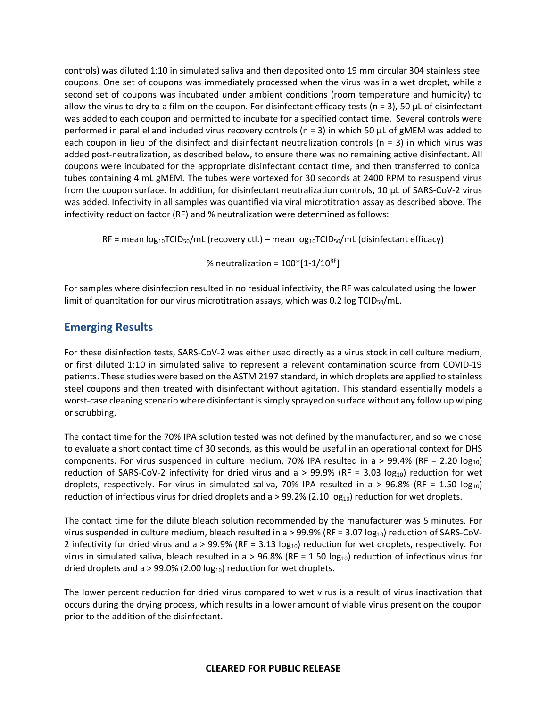controls) was diluted 1:10 in simulated saliva and then deposited onto 19 mm circular 304 stainless steel coupons. One set of coupons was immediately processed when the virus was in a wet droplet, while a second set of coupons was incubated under ambient conditions (room temperature and humidity) to allow the virus to dry to a film on the coupon. For disinfectant efficacy tests (n = 3), 50  $\mu$ L of disinfectant was added to each coupon and permitted to incubate for a specified contact time. Several controls were performed in parallel and included virus recovery controls (n = 3) in which 50 μL of gMEM was added to each coupon in lieu of the disinfect and disinfectant neutralization controls (n = 3) in which virus was added post-neutralization, as described below, to ensure there was no remaining active disinfectant. All coupons were incubated for the appropriate disinfectant contact time, and then transferred to conical tubes containing 4 mL gMEM. The tubes were vortexed for 30 seconds at 2400 RPM to resuspend virus from the coupon surface. In addition, for disinfectant neutralization controls, 10 μL of SARS-CoV-2 virus was added. Infectivity in all samples was quantified via viral microtitration assay as described above. The infectivity reduction factor (RF) and % neutralization were determined as follows:

RF = mean  $log_{10}TClD_{50}/mL$  (recovery ctl.) – mean  $log_{10}TClD_{50}/mL$  (disinfectant efficacy)

% neutralization =  $100*[1-1/10^{RF}]$ 

For samples where disinfection resulted in no residual infectivity, the RF was calculated using the lower limit of quantitation for our virus microtitration assays, which was 0.2 log TCID $_{50}/$ mL.

## **Emerging Results**

For these disinfection tests, SARS-CoV-2 was either used directly as a virus stock in cell culture medium, or first diluted 1:10 in simulated saliva to represent a relevant contamination source from COVID-19 patients. These studies were based on the ASTM 2197 standard, in which droplets are applied to stainless steel coupons and then treated with disinfectant without agitation. This standard essentially models a worst-case cleaning scenario where disinfectant is simply sprayed on surface without any follow up wiping or scrubbing.

The contact time for the 70% IPA solution tested was not defined by the manufacturer, and so we chose to evaluate a short contact time of 30 seconds, as this would be useful in an operational context for DHS components. For virus suspended in culture medium, 70% IPA resulted in a > 99.4% (RF = 2.20  $log_{10}$ ) reduction of SARS-CoV-2 infectivity for dried virus and a > 99.9% (RF = 3.03  $log_{10}$ ) reduction for wet droplets, respectively. For virus in simulated saliva, 70% IPA resulted in a > 96.8% (RF = 1.50 log<sub>10</sub>) reduction of infectious virus for dried droplets and  $a > 99.2\%$  (2.10 log<sub>10</sub>) reduction for wet droplets.

The contact time for the dilute bleach solution recommended by the manufacturer was 5 minutes. For virus suspended in culture medium, bleach resulted in a > 99.9% (RF = 3.07  $log_{10}$ ) reduction of SARS-CoV-2 infectivity for dried virus and a > 99.9% (RF = 3.13  $log_{10}$ ) reduction for wet droplets, respectively. For virus in simulated saliva, bleach resulted in a > 96.8% (RF = 1.50 log<sub>10</sub>) reduction of infectious virus for dried droplets and a > 99.0% (2.00  $log_{10}$ ) reduction for wet droplets.

The lower percent reduction for dried virus compared to wet virus is a result of virus inactivation that occurs during the drying process, which results in a lower amount of viable virus present on the coupon prior to the addition of the disinfectant.

#### **CLEARED FOR PUBLIC RELEASE**